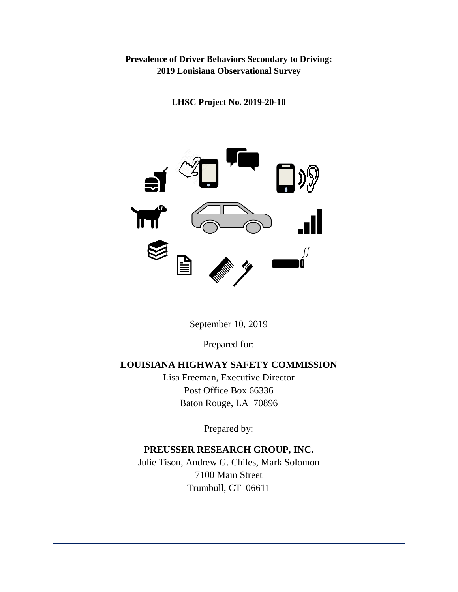# **Prevalence of Driver Behaviors Secondary to Driving: 2019 Louisiana Observational Survey**

**LHSC Project No. 2019-20-10**



September 10, 2019

Prepared for:

# **LOUISIANA HIGHWAY SAFETY COMMISSION**

Lisa Freeman, Executive Director Post Office Box 66336 Baton Rouge, LA 70896

Prepared by:

# **PREUSSER RESEARCH GROUP, INC.**

Julie Tison, Andrew G. Chiles, Mark Solomon 7100 Main Street Trumbull, CT 06611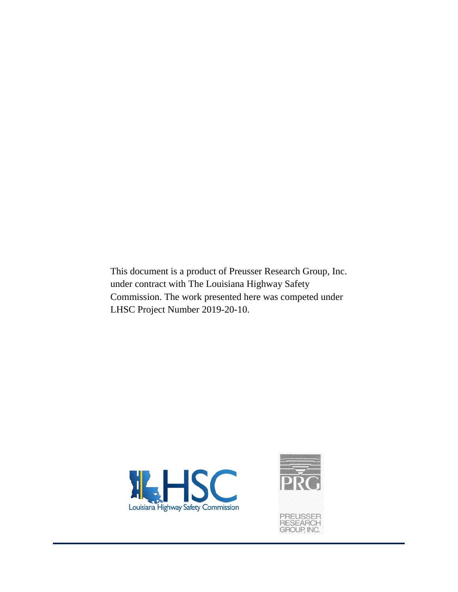This document is a product of Preusser Research Group, Inc. under contract with The Louisiana Highway Safety Commission. The work presented here was competed under LHSC Project Number 2019-20-10.



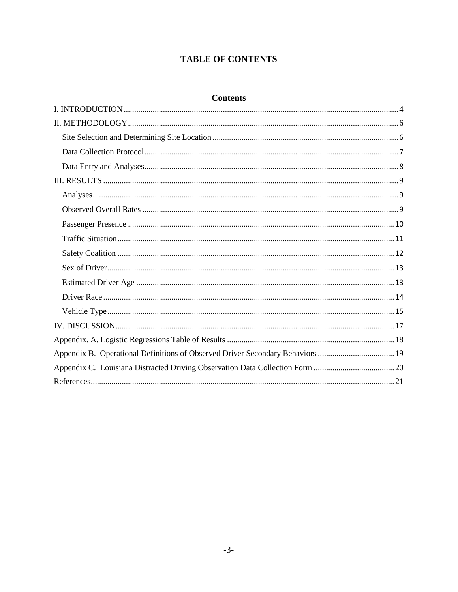# **TABLE OF CONTENTS**

# **Contents**

| Appendix B. Operational Definitions of Observed Driver Secondary Behaviors  19 |
|--------------------------------------------------------------------------------|
|                                                                                |
|                                                                                |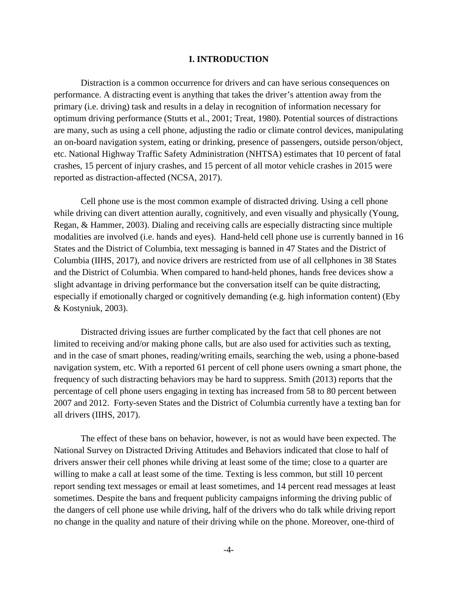#### **I. INTRODUCTION**

<span id="page-3-0"></span>Distraction is a common occurrence for drivers and can have serious consequences on performance. A distracting event is anything that takes the driver's attention away from the primary (i.e. driving) task and results in a delay in recognition of information necessary for optimum driving performance (Stutts et al., 2001; Treat, 1980). Potential sources of distractions are many, such as using a cell phone, adjusting the radio or climate control devices, manipulating an on-board navigation system, eating or drinking, presence of passengers, outside person/object, etc. National Highway Traffic Safety Administration (NHTSA) estimates that 10 percent of fatal crashes, 15 percent of injury crashes, and 15 percent of all motor vehicle crashes in 2015 were reported as distraction-affected (NCSA, 2017).

Cell phone use is the most common example of distracted driving. Using a cell phone while driving can divert attention aurally, cognitively, and even visually and physically (Young, Regan, & Hammer, 2003). Dialing and receiving calls are especially distracting since multiple modalities are involved (i.e. hands and eyes). Hand-held cell phone use is currently banned in 16 States and the District of Columbia, text messaging is banned in 47 States and the District of Columbia (IIHS, 2017), and novice drivers are restricted from use of all cellphones in 38 States and the District of Columbia. When compared to hand-held phones, hands free devices show a slight advantage in driving performance but the conversation itself can be quite distracting, especially if emotionally charged or cognitively demanding (e.g. high information content) (Eby & Kostyniuk, 2003).

Distracted driving issues are further complicated by the fact that cell phones are not limited to receiving and/or making phone calls, but are also used for activities such as texting, and in the case of smart phones, reading/writing emails, searching the web, using a phone-based navigation system, etc. With a reported 61 percent of cell phone users owning a smart phone, the frequency of such distracting behaviors may be hard to suppress. Smith (2013) reports that the percentage of cell phone users engaging in texting has increased from 58 to 80 percent between 2007 and 2012. Forty-seven States and the District of Columbia currently have a texting ban for all drivers (IIHS, 2017).

The effect of these bans on behavior, however, is not as would have been expected. The National Survey on Distracted Driving Attitudes and Behaviors indicated that close to half of drivers answer their cell phones while driving at least some of the time; close to a quarter are willing to make a call at least some of the time. Texting is less common, but still 10 percent report sending text messages or email at least sometimes, and 14 percent read messages at least sometimes. Despite the bans and frequent publicity campaigns informing the driving public of the dangers of cell phone use while driving, half of the drivers who do talk while driving report no change in the quality and nature of their driving while on the phone. Moreover, one-third of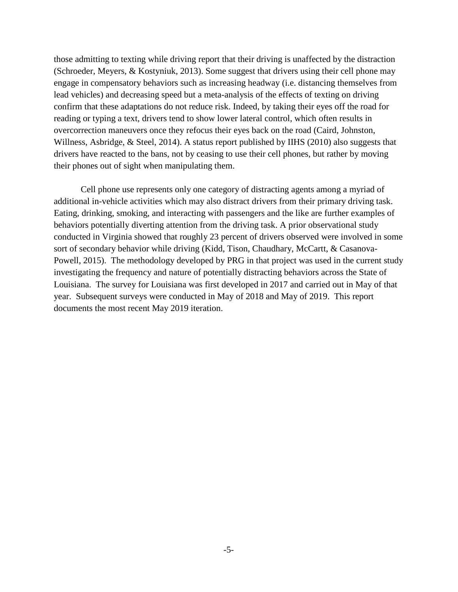those admitting to texting while driving report that their driving is unaffected by the distraction (Schroeder, Meyers, & Kostyniuk, 2013). Some suggest that drivers using their cell phone may engage in compensatory behaviors such as increasing headway (i.e. distancing themselves from lead vehicles) and decreasing speed but a meta-analysis of the effects of texting on driving confirm that these adaptations do not reduce risk. Indeed, by taking their eyes off the road for reading or typing a text, drivers tend to show lower lateral control, which often results in overcorrection maneuvers once they refocus their eyes back on the road (Caird, Johnston, Willness, Asbridge, & Steel, 2014). A status report published by IIHS (2010) also suggests that drivers have reacted to the bans, not by ceasing to use their cell phones, but rather by moving their phones out of sight when manipulating them.

Cell phone use represents only one category of distracting agents among a myriad of additional in-vehicle activities which may also distract drivers from their primary driving task. Eating, drinking, smoking, and interacting with passengers and the like are further examples of behaviors potentially diverting attention from the driving task. A prior observational study conducted in Virginia showed that roughly 23 percent of drivers observed were involved in some sort of secondary behavior while driving (Kidd, Tison, Chaudhary, McCartt, & Casanova-Powell, 2015). The methodology developed by PRG in that project was used in the current study investigating the frequency and nature of potentially distracting behaviors across the State of Louisiana. The survey for Louisiana was first developed in 2017 and carried out in May of that year. Subsequent surveys were conducted in May of 2018 and May of 2019. This report documents the most recent May 2019 iteration.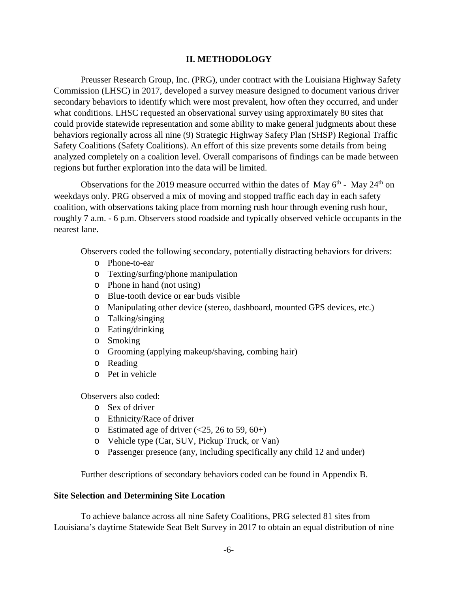### **II. METHODOLOGY**

<span id="page-5-0"></span>Preusser Research Group, Inc. (PRG), under contract with the Louisiana Highway Safety Commission (LHSC) in 2017, developed a survey measure designed to document various driver secondary behaviors to identify which were most prevalent, how often they occurred, and under what conditions. LHSC requested an observational survey using approximately 80 sites that could provide statewide representation and some ability to make general judgments about these behaviors regionally across all nine (9) Strategic Highway Safety Plan (SHSP) Regional Traffic Safety Coalitions (Safety Coalitions). An effort of this size prevents some details from being analyzed completely on a coalition level. Overall comparisons of findings can be made between regions but further exploration into the data will be limited.

Observations for the 2019 measure occurred within the dates of May  $6<sup>th</sup>$  - May 24<sup>th</sup> on weekdays only. PRG observed a mix of moving and stopped traffic each day in each safety coalition, with observations taking place from morning rush hour through evening rush hour, roughly 7 a.m. - 6 p.m. Observers stood roadside and typically observed vehicle occupants in the nearest lane.

Observers coded the following secondary, potentially distracting behaviors for drivers:

- o Phone-to-ear
- o Texting/surfing/phone manipulation
- o Phone in hand (not using)
- o Blue-tooth device or ear buds visible
- o Manipulating other device (stereo, dashboard, mounted GPS devices, etc.)
- o Talking/singing
- o Eating/drinking
- o Smoking
- o Grooming (applying makeup/shaving, combing hair)
- o Reading
- o Pet in vehicle

Observers also coded:

- o Sex of driver
- o Ethnicity/Race of driver
- o Estimated age of driver  $\left( \langle 25, 26 \rangle 60, 60 \rangle \right)$
- o Vehicle type (Car, SUV, Pickup Truck, or Van)
- o Passenger presence (any, including specifically any child 12 and under)

Further descriptions of secondary behaviors coded can be found in Appendix B.

#### <span id="page-5-1"></span>**Site Selection and Determining Site Location**

To achieve balance across all nine Safety Coalitions, PRG selected 81 sites from Louisiana's daytime Statewide Seat Belt Survey in 2017 to obtain an equal distribution of nine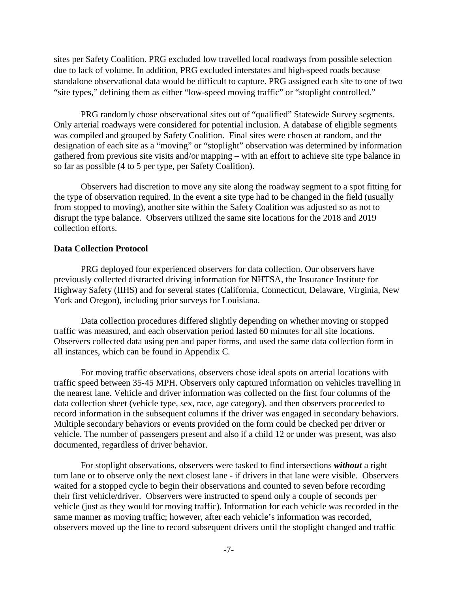sites per Safety Coalition. PRG excluded low travelled local roadways from possible selection due to lack of volume. In addition, PRG excluded interstates and high-speed roads because standalone observational data would be difficult to capture. PRG assigned each site to one of two "site types," defining them as either "low-speed moving traffic" or "stoplight controlled."

PRG randomly chose observational sites out of "qualified" Statewide Survey segments. Only arterial roadways were considered for potential inclusion. A database of eligible segments was compiled and grouped by Safety Coalition. Final sites were chosen at random, and the designation of each site as a "moving" or "stoplight" observation was determined by information gathered from previous site visits and/or mapping – with an effort to achieve site type balance in so far as possible (4 to 5 per type, per Safety Coalition).

Observers had discretion to move any site along the roadway segment to a spot fitting for the type of observation required. In the event a site type had to be changed in the field (usually from stopped to moving), another site within the Safety Coalition was adjusted so as not to disrupt the type balance. Observers utilized the same site locations for the 2018 and 2019 collection efforts.

#### <span id="page-6-0"></span>**Data Collection Protocol**

PRG deployed four experienced observers for data collection. Our observers have previously collected distracted driving information for NHTSA, the Insurance Institute for Highway Safety (IIHS) and for several states (California, Connecticut, Delaware, Virginia, New York and Oregon), including prior surveys for Louisiana.

Data collection procedures differed slightly depending on whether moving or stopped traffic was measured, and each observation period lasted 60 minutes for all site locations. Observers collected data using pen and paper forms, and used the same data collection form in all instances, which can be found in Appendix C*.*

For moving traffic observations, observers chose ideal spots on arterial locations with traffic speed between 35-45 MPH. Observers only captured information on vehicles travelling in the nearest lane. Vehicle and driver information was collected on the first four columns of the data collection sheet (vehicle type, sex, race, age category), and then observers proceeded to record information in the subsequent columns if the driver was engaged in secondary behaviors. Multiple secondary behaviors or events provided on the form could be checked per driver or vehicle. The number of passengers present and also if a child 12 or under was present, was also documented, regardless of driver behavior.

For stoplight observations, observers were tasked to find intersections *without* a right turn lane or to observe only the next closest lane - if drivers in that lane were visible. Observers waited for a stopped cycle to begin their observations and counted to seven before recording their first vehicle/driver. Observers were instructed to spend only a couple of seconds per vehicle (just as they would for moving traffic). Information for each vehicle was recorded in the same manner as moving traffic; however, after each vehicle's information was recorded, observers moved up the line to record subsequent drivers until the stoplight changed and traffic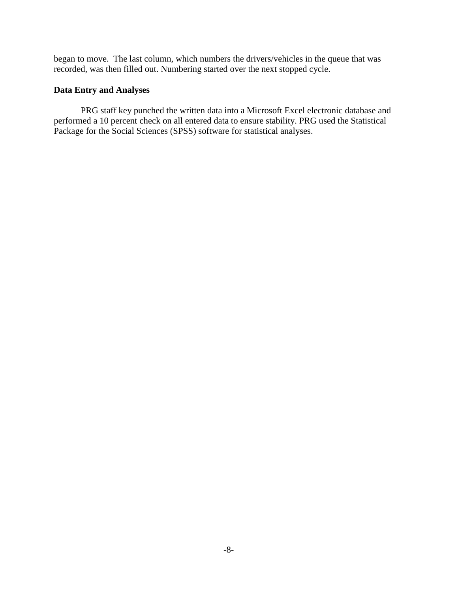began to move. The last column, which numbers the drivers/vehicles in the queue that was recorded, was then filled out. Numbering started over the next stopped cycle.

# <span id="page-7-0"></span>**Data Entry and Analyses**

PRG staff key punched the written data into a Microsoft Excel electronic database and performed a 10 percent check on all entered data to ensure stability. PRG used the Statistical Package for the Social Sciences (SPSS) software for statistical analyses.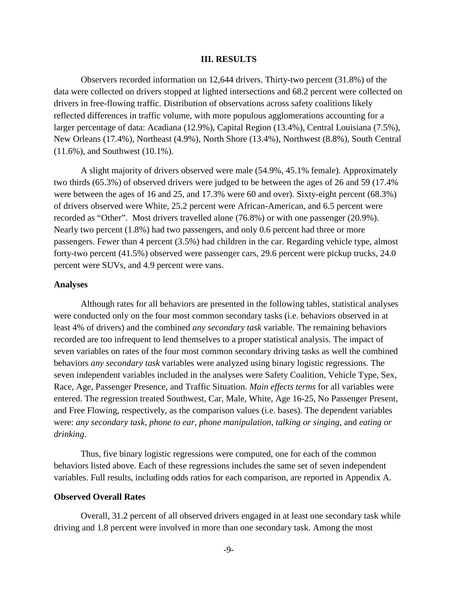#### **III. RESULTS**

<span id="page-8-0"></span>Observers recorded information on 12,644 drivers. Thirty-two percent (31.8%) of the data were collected on drivers stopped at lighted intersections and 68.2 percent were collected on drivers in free-flowing traffic. Distribution of observations across safety coalitions likely reflected differences in traffic volume, with more populous agglomerations accounting for a larger percentage of data: Acadiana (12.9%), Capital Region (13.4%), Central Louisiana (7.5%), New Orleans (17.4%), Northeast (4.9%), North Shore (13.4%), Northwest (8.8%), South Central (11.6%), and Southwest (10.1%).

A slight majority of drivers observed were male (54.9%, 45.1% female). Approximately two thirds (65.3%) of observed drivers were judged to be between the ages of 26 and 59 (17.4% were between the ages of 16 and 25, and 17.3% were 60 and over). Sixty-eight percent (68.3%) of drivers observed were White, 25.2 percent were African-American, and 6.5 percent were recorded as "Other". Most drivers travelled alone (76.8%) or with one passenger (20.9%). Nearly two percent (1.8%) had two passengers, and only 0.6 percent had three or more passengers. Fewer than 4 percent (3.5%) had children in the car. Regarding vehicle type, almost forty-two percent (41.5%) observed were passenger cars, 29.6 percent were pickup trucks, 24.0 percent were SUVs, and 4.9 percent were vans.

#### <span id="page-8-1"></span>**Analyses**

Although rates for all behaviors are presented in the following tables, statistical analyses were conducted only on the four most common secondary tasks (i.e. behaviors observed in at least 4% of drivers) and the combined *any secondary task* variable. The remaining behaviors recorded are too infrequent to lend themselves to a proper statistical analysis. The impact of seven variables on rates of the four most common secondary driving tasks as well the combined behaviors *any secondary task* variables were analyzed using binary logistic regressions. The seven independent variables included in the analyses were Safety Coalition, Vehicle Type, Sex, Race, Age, Passenger Presence, and Traffic Situation. *Main effects terms* for all variables were entered. The regression treated Southwest, Car, Male, White, Age 16-25, No Passenger Present, and Free Flowing, respectively, as the comparison values (i.e. bases). The dependent variables were: *any secondary task*, *phone to ear*, *phone manipulation*, *talking or singing*, and *eating or drinking*.

Thus, five binary logistic regressions were computed, one for each of the common behaviors listed above. Each of these regressions includes the same set of seven independent variables. Full results, including odds ratios for each comparison, are reported in Appendix A.

#### <span id="page-8-2"></span>**Observed Overall Rates**

Overall, 31.2 percent of all observed drivers engaged in at least one secondary task while driving and 1.8 percent were involved in more than one secondary task. Among the most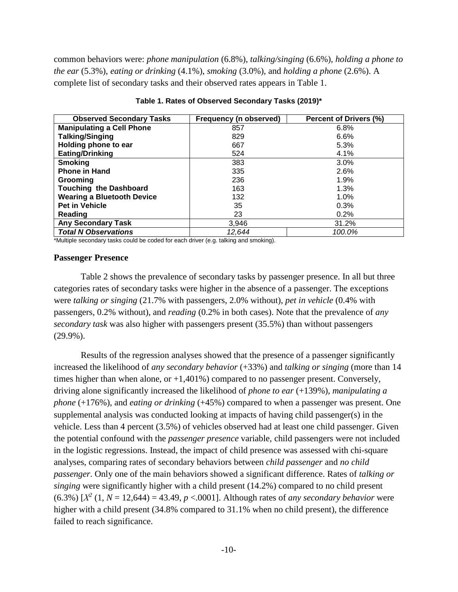common behaviors were: *phone manipulation* (6.8%), *talking/singing* (6.6%), *holding a phone to the ear* (5.3%), *eating or drinking* (4.1%), *smoking* (3.0%), and *holding a phone* (2.6%). A complete list of secondary tasks and their observed rates appears in Table 1.

| <b>Observed Secondary Tasks</b>   | Frequency (n observed) | Percent of Drivers (%) |
|-----------------------------------|------------------------|------------------------|
| <b>Manipulating a Cell Phone</b>  | 857                    | 6.8%                   |
| <b>Talking/Singing</b>            | 829                    | 6.6%                   |
| Holding phone to ear              | 667                    | 5.3%                   |
| <b>Eating/Drinking</b>            | 524                    | 4.1%                   |
| <b>Smoking</b>                    | 383                    | 3.0%                   |
| <b>Phone in Hand</b>              | 335                    | 2.6%                   |
| Grooming                          | 236                    | 1.9%                   |
| <b>Touching the Dashboard</b>     | 163                    | 1.3%                   |
| <b>Wearing a Bluetooth Device</b> | 132                    | 1.0%                   |
| <b>Pet in Vehicle</b>             | 35                     | 0.3%                   |
| Reading                           | 23                     | 0.2%                   |
| <b>Any Secondary Task</b>         | 3,946                  | 31.2%                  |
| <b>Total N Observations</b>       | 12,644                 | 100.0%                 |

**Table 1. Rates of Observed Secondary Tasks (2019)\***

\*Multiple secondary tasks could be coded for each driver (e.g. talking and smoking).

#### <span id="page-9-0"></span>**Passenger Presence**

Table 2 shows the prevalence of secondary tasks by passenger presence. In all but three categories rates of secondary tasks were higher in the absence of a passenger. The exceptions were *talking or singing* (21.7% with passengers, 2.0% without), *pet in vehicle* (0.4% with passengers, 0.2% without), and *reading* (0.2% in both cases). Note that the prevalence of *any secondary task* was also higher with passengers present (35.5%) than without passengers (29.9%).

Results of the regression analyses showed that the presence of a passenger significantly increased the likelihood of *any secondary behavior* (+33%) and *talking or singing* (more than 14 times higher than when alone, or  $+1,401\%$  compared to no passenger present. Conversely, driving alone significantly increased the likelihood of *phone to ear* (+139%), *manipulating a phone* (+176%), and *eating or drinking* (+45%) compared to when a passenger was present. One supplemental analysis was conducted looking at impacts of having child passenger(s) in the vehicle. Less than 4 percent (3.5%) of vehicles observed had at least one child passenger. Given the potential confound with the *passenger presence* variable, child passengers were not included in the logistic regressions. Instead, the impact of child presence was assessed with chi-square analyses, comparing rates of secondary behaviors between *child passenger* and *no child passenger*. Only one of the main behaviors showed a significant difference. Rates of *talking or singing* were significantly higher with a child present (14.2%) compared to no child present (6.3%)  $[X^2(1, N = 12, 644) = 43.49, p < .0001$ . Although rates of *any secondary behavior* were higher with a child present (34.8% compared to 31.1% when no child present), the difference failed to reach significance.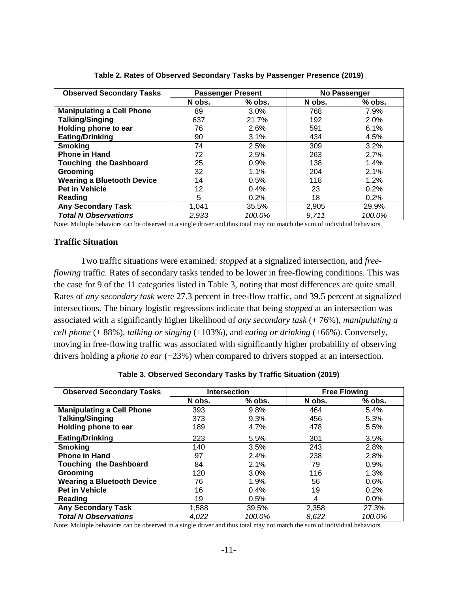| <b>Observed Secondary Tasks</b>   |        | <b>Passenger Present</b> |        | No Passenger |
|-----------------------------------|--------|--------------------------|--------|--------------|
|                                   | N obs. | $%$ obs.                 | N obs. | $%$ obs.     |
| <b>Manipulating a Cell Phone</b>  | 89     | $3.0\%$                  | 768    | 7.9%         |
| <b>Talking/Singing</b>            | 637    | 21.7%                    | 192    | 2.0%         |
| Holding phone to ear              | 76     | 2.6%                     | 591    | 6.1%         |
| Eating/Drinking                   | 90     | 3.1%                     | 434    | 4.5%         |
| <b>Smoking</b>                    | 74     | 2.5%                     | 309    | 3.2%         |
| <b>Phone in Hand</b>              | 72     | 2.5%                     | 263    | 2.7%         |
| <b>Touching the Dashboard</b>     | 25     | 0.9%                     | 138    | 1.4%         |
| Grooming                          | 32     | 1.1%                     | 204    | 2.1%         |
| <b>Wearing a Bluetooth Device</b> | 14     | 0.5%                     | 118    | 1.2%         |
| <b>Pet in Vehicle</b>             | 12     | $0.4\%$                  | 23     | 0.2%         |
| Reading                           | 5      | 0.2%                     | 18     | 0.2%         |
| <b>Any Secondary Task</b>         | 1,041  | 35.5%                    | 2,905  | 29.9%        |
| <b>Total N Observations</b>       | 2.933  | 100.0%                   | 9.711  | 100.0%       |

**Table 2. Rates of Observed Secondary Tasks by Passenger Presence (2019)**

Note: Multiple behaviors can be observed in a single driver and thus total may not match the sum of individual behaviors.

#### <span id="page-10-0"></span>**Traffic Situation**

Two traffic situations were examined: *stopped* at a signalized intersection, and *freeflowing* traffic. Rates of secondary tasks tended to be lower in free-flowing conditions. This was the case for 9 of the 11 categories listed in Table 3, noting that most differences are quite small. Rates of *any secondary task* were 27.3 percent in free-flow traffic, and 39.5 percent at signalized intersections. The binary logistic regressions indicate that being *stopped* at an intersection was associated with a significantly higher likelihood of *any secondary task* (+ 76%), *manipulating a cell phone* (+ 88%), *talking or singing* (+103%), and *eating or drinking* (+66%). Conversely, moving in free-flowing traffic was associated with significantly higher probability of observing drivers holding a *phone to ear* (+23%) when compared to drivers stopped at an intersection.

| Table 3. Observed Secondary Tasks by Traffic Situation (2019) |  |  |  |
|---------------------------------------------------------------|--|--|--|
|---------------------------------------------------------------|--|--|--|

| <b>Observed Secondary Tasks</b>   | <b>Intersection</b> |          |        | <b>Free Flowing</b> |
|-----------------------------------|---------------------|----------|--------|---------------------|
|                                   | N obs.              | $%$ obs. | N obs. | $%$ obs.            |
| <b>Manipulating a Cell Phone</b>  | 393                 | 9.8%     | 464    | 5.4%                |
| <b>Talking/Singing</b>            | 373                 | 9.3%     | 456    | 5.3%                |
| Holding phone to ear              | 189                 | 4.7%     | 478    | 5.5%                |
| <b>Eating/Drinking</b>            | 223                 | 5.5%     | 301    | 3.5%                |
| <b>Smoking</b>                    | 140                 | 3.5%     | 243    | 2.8%                |
| <b>Phone in Hand</b>              | 97                  | 2.4%     | 238    | 2.8%                |
| <b>Touching the Dashboard</b>     | 84                  | 2.1%     | 79     | 0.9%                |
| Grooming                          | 120                 | 3.0%     | 116    | 1.3%                |
| <b>Wearing a Bluetooth Device</b> | 76                  | 1.9%     | 56     | 0.6%                |
| <b>Pet in Vehicle</b>             | 16                  | 0.4%     | 19     | 0.2%                |
| Reading                           | 19                  | 0.5%     | 4      | 0.0%                |
| <b>Any Secondary Task</b>         | 1,588               | 39.5%    | 2,358  | 27.3%               |
| <b>Total N Observations</b>       | 4,022               | 100.0%   | 8.622  | 100.0%              |

Note: Multiple behaviors can be observed in a single driver and thus total may not match the sum of individual behaviors.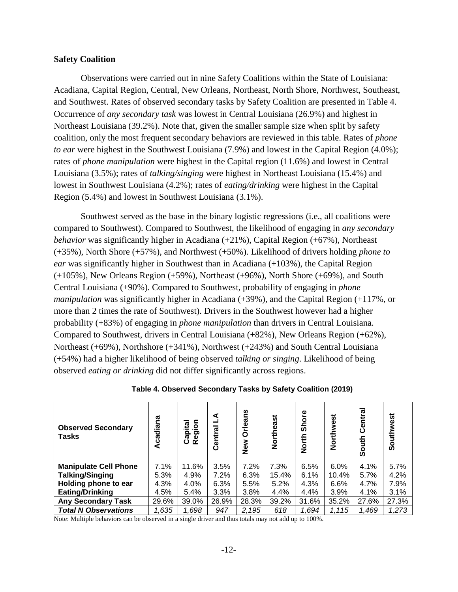#### <span id="page-11-0"></span>**Safety Coalition**

Observations were carried out in nine Safety Coalitions within the State of Louisiana: Acadiana, Capital Region, Central, New Orleans, Northeast, North Shore, Northwest, Southeast, and Southwest. Rates of observed secondary tasks by Safety Coalition are presented in Table 4. Occurrence of *any secondary task* was lowest in Central Louisiana (26.9%) and highest in Northeast Louisiana (39.2%). Note that, given the smaller sample size when split by safety coalition, only the most frequent secondary behaviors are reviewed in this table. Rates of *phone to ear* were highest in the Southwest Louisiana (7.9%) and lowest in the Capital Region (4.0%); rates of *phone manipulation* were highest in the Capital region (11.6%) and lowest in Central Louisiana (3.5%); rates of *talking/singing* were highest in Northeast Louisiana (15.4%) and lowest in Southwest Louisiana (4.2%); rates of *eating/drinking* were highest in the Capital Region (5.4%) and lowest in Southwest Louisiana (3.1%).

Southwest served as the base in the binary logistic regressions (i.e., all coalitions were compared to Southwest). Compared to Southwest, the likelihood of engaging in *any secondary behavior* was significantly higher in Acadiana (+21%), Capital Region (+67%), Northeast (+35%), North Shore (+57%), and Northwest (+50%). Likelihood of drivers holding *phone to ear* was significantly higher in Southwest than in Acadiana (+103%), the Capital Region (+105%), New Orleans Region (+59%), Northeast (+96%), North Shore (+69%), and South Central Louisiana (+90%). Compared to Southwest, probability of engaging in *phone manipulation* was significantly higher in Acadiana (+39%), and the Capital Region (+117%, or more than 2 times the rate of Southwest). Drivers in the Southwest however had a higher probability (+83%) of engaging in *phone manipulation* than drivers in Central Louisiana. Compared to Southwest, drivers in Central Louisiana (+82%), New Orleans Region (+62%), Northeast (+69%), Northshore (+341%), Northwest (+243%) and South Central Louisiana (+54%) had a higher likelihood of being observed *talking or singing*. Likelihood of being observed *eating or drinking* did not differ significantly across regions.

| <b>Observed Secondary</b><br><b>Tasks</b> | Acadiana | gion<br>pital<br>ِهِ<br>යි | 1<br><u>ra</u><br>Centr | <b>Orleans</b><br>New | Northeast | <b>Shore</b><br><b>North</b> | Northwest | Centra<br>South | Southwest |
|-------------------------------------------|----------|----------------------------|-------------------------|-----------------------|-----------|------------------------------|-----------|-----------------|-----------|
| <b>Manipulate Cell Phone</b>              | 7.1%     | 11.6%                      | 3.5%                    | 7.2%                  | 7.3%      | 6.5%                         | 6.0%      | 4.1%            | 5.7%      |
| <b>Talking/Singing</b>                    | 5.3%     | 4.9%                       | 7.2%                    | 6.3%                  | 15.4%     | 6.1%                         | 10.4%     | 5.7%            | 4.2%      |
| Holding phone to ear                      | 4.3%     | 4.0%                       | 6.3%                    | 5.5%                  | 5.2%      | 4.3%                         | 6.6%      | 4.7%            | 7.9%      |
| <b>Eating/Drinking</b>                    | 4.5%     | 5.4%                       | 3.3%                    | 3.8%                  | 4.4%      | 4.4%                         | 3.9%      | 4.1%            | 3.1%      |
| <b>Any Secondary Task</b>                 | 29.6%    | 39.0%                      | 26.9%                   | 28.3%                 | 39.2%     | 31.6%                        | 35.2%     | 27.6%           | 27.3%     |
| <b>Total N Observations</b>               | 1,635    | 1,698                      | 947                     | 2.195                 | 618       | 1,694                        | 1.115     | 1,469           | 1,273     |

**Table 4. Observed Secondary Tasks by Safety Coalition (2019)**

Note: Multiple behaviors can be observed in a single driver and thus totals may not add up to 100%.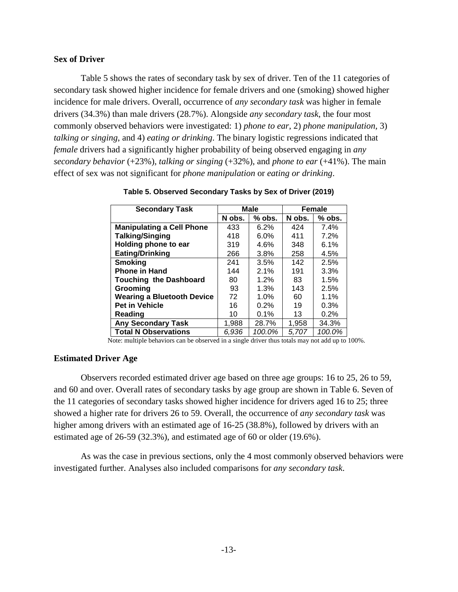## <span id="page-12-0"></span>**Sex of Driver**

Table 5 shows the rates of secondary task by sex of driver. Ten of the 11 categories of secondary task showed higher incidence for female drivers and one (smoking) showed higher incidence for male drivers. Overall, occurrence of *any secondary task* was higher in female drivers (34.3%) than male drivers (28.7%). Alongside *any secondary task*, the four most commonly observed behaviors were investigated: 1) *phone to ear*, 2) *phone manipulation,* 3) *talking or singing*, and 4) *eating or drinking*. The binary logistic regressions indicated that *female* drivers had a significantly higher probability of being observed engaging in *any secondary behavior*  $(+23%)$ , *talking or singing*  $(+32%)$ , and *phone to ear*  $(+41%)$ . The main effect of sex was not significant for *phone manipulation* or *eating or drinking*.

| <b>Secondary Task</b>             |        | <b>Male</b> | <b>Female</b> |          |  |
|-----------------------------------|--------|-------------|---------------|----------|--|
|                                   | N obs. | % obs.      | N obs.        | $%$ obs. |  |
| <b>Manipulating a Cell Phone</b>  | 433    | 6.2%        | 424           | 7.4%     |  |
| <b>Talking/Singing</b>            | 418    | $6.0\%$     | 411           | 7.2%     |  |
| Holding phone to ear              | 319    | 4.6%        | 348           | 6.1%     |  |
| <b>Eating/Drinking</b>            | 266    | 3.8%        | 258           | 4.5%     |  |
| <b>Smoking</b>                    | 241    | 3.5%        | 142           | 2.5%     |  |
| <b>Phone in Hand</b>              | 144    | 2.1%        | 191           | 3.3%     |  |
| <b>Touching the Dashboard</b>     | 80     | 1.2%        | 83.           | 1.5%     |  |
| Grooming                          | 93     | 1.3%        | 143           | 2.5%     |  |
| <b>Wearing a Bluetooth Device</b> | 72     | 1.0%        | 60            | 1.1%     |  |
| <b>Pet in Vehicle</b>             | 16     | 0.2%        | 19            | 0.3%     |  |
| Reading                           | 10     | 0.1%        | 13            | 0.2%     |  |
| <b>Any Secondary Task</b>         | 1,988  | 28.7%       | 1,958         | 34.3%    |  |
| <b>Total N Observations</b>       | 6,936  | 100.0%      | 5,707         | 100.0%   |  |

**Table 5. Observed Secondary Tasks by Sex of Driver (2019)**

Note: multiple behaviors can be observed in a single driver thus totals may not add up to 100%.

## <span id="page-12-1"></span>**Estimated Driver Age**

Observers recorded estimated driver age based on three age groups: 16 to 25, 26 to 59, and 60 and over. Overall rates of secondary tasks by age group are shown in Table 6. Seven of the 11 categories of secondary tasks showed higher incidence for drivers aged 16 to 25; three showed a higher rate for drivers 26 to 59. Overall, the occurrence of *any secondary task* was higher among drivers with an estimated age of 16-25 (38.8%), followed by drivers with an estimated age of 26-59 (32.3%), and estimated age of 60 or older (19.6%).

As was the case in previous sections, only the 4 most commonly observed behaviors were investigated further. Analyses also included comparisons for *any secondary task*.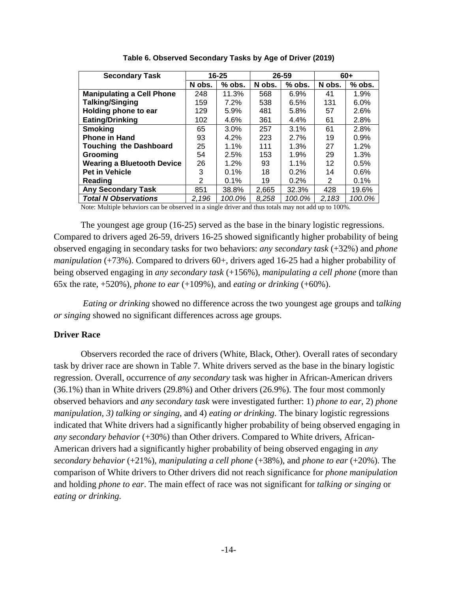| <b>Secondary Task</b>             |        | 16-25    |        | 26-59   | $60+$  |          |
|-----------------------------------|--------|----------|--------|---------|--------|----------|
|                                   | N obs. | $%$ obs. | N obs. | % obs.  | N obs. | $%$ obs. |
| <b>Manipulating a Cell Phone</b>  | 248    | 11.3%    | 568    | 6.9%    | 41     | 1.9%     |
| <b>Talking/Singing</b>            | 159    | 7.2%     | 538    | 6.5%    | 131    | $6.0\%$  |
| Holding phone to ear              | 129    | 5.9%     | 481    | 5.8%    | 57     | 2.6%     |
| <b>Eating/Drinking</b>            | 102    | 4.6%     | 361    | $4.4\%$ | 61     | 2.8%     |
| <b>Smoking</b>                    | 65     | 3.0%     | 257    | 3.1%    | 61     | 2.8%     |
| <b>Phone in Hand</b>              | 93     | 4.2%     | 223    | 2.7%    | 19     | 0.9%     |
| <b>Touching the Dashboard</b>     | 25     | 1.1%     | 111    | 1.3%    | 27     | 1.2%     |
| Grooming                          | 54     | 2.5%     | 153    | 1.9%    | 29     | 1.3%     |
| <b>Wearing a Bluetooth Device</b> | 26     | $1.2\%$  | 93     | $1.1\%$ | 12     | 0.5%     |
| <b>Pet in Vehicle</b>             | 3      | $0.1\%$  | 18     | $0.2\%$ | 14     | $0.6\%$  |
| Reading                           | 2      | 0.1%     | 19     | 0.2%    | 2      | 0.1%     |
| <b>Any Secondary Task</b>         | 851    | 38.8%    | 2,665  | 32.3%   | 428    | 19.6%    |
| <b>Total N Observations</b>       | 2,196  | 100.0%   | 8.258  | 100.0%  | 2.183  | 100.0%   |

**Table 6. Observed Secondary Tasks by Age of Driver (2019)**

Note: Multiple behaviors can be observed in a single driver and thus totals may not add up to 100%.

The youngest age group (16-25) served as the base in the binary logistic regressions. Compared to drivers aged 26-59, drivers 16-25 showed significantly higher probability of being observed engaging in secondary tasks for two behaviors: *any secondary task* (+32%) and *phone manipulation* (+73%). Compared to drivers 60+, drivers aged 16-25 had a higher probability of being observed engaging in *any secondary task* (+156%), *manipulating a cell phone* (more than 65x the rate, +520%), *phone to ear* (+109%), and *eating or drinking* (+60%).

*Eating or drinking* showed no difference across the two youngest age groups and t*alking or singing* showed no significant differences across age groups.

## <span id="page-13-0"></span>**Driver Race**

Observers recorded the race of drivers (White, Black, Other). Overall rates of secondary task by driver race are shown in Table 7. White drivers served as the base in the binary logistic regression. Overall, occurrence of *any secondary* task was higher in African-American drivers (36.1%) than in White drivers (29.8%) and Other drivers (26.9%). The four most commonly observed behaviors and *any secondary task* were investigated further: 1) *phone to ear*, 2) *phone manipulation, 3) talking or singing*, and 4) *eating or drinking*. The binary logistic regressions indicated that White drivers had a significantly higher probability of being observed engaging in *any secondary behavior* (+30%) than Other drivers. Compared to White drivers, African-American drivers had a significantly higher probability of being observed engaging in *any secondary behavior* (+21%), *manipulating a cell phone* (+38%), and *phone to ear* (+20%). The comparison of White drivers to Other drivers did not reach significance for *phone manipulation*  and holding *phone to ear*. The main effect of race was not significant for *talking or singing* or *eating or drinking.*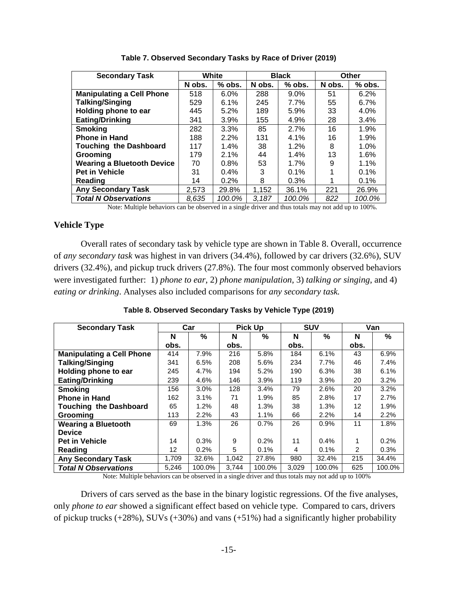| <b>Secondary Task</b>             |        | White    |        | <b>Black</b> | Other  |          |
|-----------------------------------|--------|----------|--------|--------------|--------|----------|
|                                   | N obs. | $%$ obs. | N obs. | $%$ obs.     | N obs. | $%$ obs. |
| <b>Manipulating a Cell Phone</b>  | 518    | 6.0%     | 288    | $9.0\%$      | 51     | 6.2%     |
| <b>Talking/Singing</b>            | 529    | 6.1%     | 245    | $7.7\%$      | 55     | 6.7%     |
| Holding phone to ear              | 445    | 5.2%     | 189    | 5.9%         | 33     | 4.0%     |
| <b>Eating/Drinking</b>            | 341    | 3.9%     | 155    | 4.9%         | 28     | 3.4%     |
| <b>Smoking</b>                    | 282    | 3.3%     | 85     | 2.7%         | 16     | 1.9%     |
| <b>Phone in Hand</b>              | 188    | 2.2%     | 131    | 4.1%         | 16     | 1.9%     |
| <b>Touching the Dashboard</b>     | 117    | 1.4%     | 38     | 1.2%         | 8      | 1.0%     |
| Grooming                          | 179    | 2.1%     | 44     | 1.4%         | 13     | 1.6%     |
| <b>Wearing a Bluetooth Device</b> | 70     | 0.8%     | 53     | 1.7%         | 9      | 1.1%     |
| <b>Pet in Vehicle</b>             | 31     | $0.4\%$  | 3      | 0.1%         |        | $0.1\%$  |
| Reading                           | 14     | 0.2%     | 8      | 0.3%         |        | 0.1%     |
| <b>Any Secondary Task</b>         | 2,573  | 29.8%    | 1,152  | 36.1%        | 221    | 26.9%    |
| <b>Total N Observations</b>       | 8.635  | 100.0%   | 3.187  | 100.0%       | 822    | 100.0%   |

**Table 7. Observed Secondary Tasks by Race of Driver (2019)**

Note: Multiple behaviors can be observed in a single driver and thus totals may not add up to 100%.

## <span id="page-14-0"></span>**Vehicle Type**

Overall rates of secondary task by vehicle type are shown in Table 8. Overall, occurrence of *any secondary task* was highest in van drivers (34.4%), followed by car drivers (32.6%), SUV drivers (32.4%), and pickup truck drivers (27.8%). The four most commonly observed behaviors were investigated further: 1) *phone to ear*, 2) *phone manipulation*, 3) *talking or singing*, and 4) *eating or drinking*. Analyses also included comparisons for *any secondary task.* 

| <b>Secondary Task</b>            | Car               |        | <b>Pick Up</b> |        | <b>SUV</b> |        | Van            |        |
|----------------------------------|-------------------|--------|----------------|--------|------------|--------|----------------|--------|
|                                  | N                 | %      | N              | %      | N          | %      | N              | %      |
|                                  | obs.              |        | obs.           |        | obs.       |        | obs.           |        |
| <b>Manipulating a Cell Phone</b> | 414               | 7.9%   | 216            | 5.8%   | 184        | 6.1%   | 43             | 6.9%   |
| <b>Talking/Singing</b>           | 341               | 6.5%   | 208            | 5.6%   | 234        | 7.7%   | 46             | 7.4%   |
| Holding phone to ear             | 245               | 4.7%   | 194            | 5.2%   | 190        | 6.3%   | 38             | 6.1%   |
| <b>Eating/Drinking</b>           | 239               | 4.6%   | 146            | 3.9%   | 119        | 3.9%   | 20             | 3.2%   |
| <b>Smoking</b>                   | 156               | 3.0%   | 128            | 3.4%   | 79         | 2.6%   | 20             | 3.2%   |
| <b>Phone in Hand</b>             | 162               | 3.1%   | 71             | 1.9%   | 85         | 2.8%   | 17             | 2.7%   |
| <b>Touching the Dashboard</b>    | 65                | 1.2%   | 48             | 1.3%   | 38         | 1.3%   | 12             | 1.9%   |
| Grooming                         | 113               | 2.2%   | 43             | 1.1%   | 66         | 2.2%   | 14             | 2.2%   |
| <b>Wearing a Bluetooth</b>       | 69                | 1.3%   | 26             | 0.7%   | 26         | 0.9%   | 11             | 1.8%   |
| <b>Device</b>                    |                   |        |                |        |            |        |                |        |
| <b>Pet in Vehicle</b>            | 14                | 0.3%   | 9              | 0.2%   | 11         | 0.4%   | 1              | 0.2%   |
| Reading                          | $12 \overline{ }$ | 0.2%   | 5              | 0.1%   | 4          | 0.1%   | $\overline{2}$ | 0.3%   |
| <b>Any Secondary Task</b>        | 1,709             | 32.6%  | 1,042          | 27.8%  | 980        | 32.4%  | 215            | 34.4%  |
| <b>Total N Observations</b>      | 5,246             | 100.0% | 3.744          | 100.0% | 3.029      | 100.0% | 625            | 100.0% |

#### **Table 8. Observed Secondary Tasks by Vehicle Type (2019)**

Note: Multiple behaviors can be observed in a single driver and thus totals may not add up to 100%

Drivers of cars served as the base in the binary logistic regressions. Of the five analyses, only *phone to ear* showed a significant effect based on vehicle type. Compared to cars, drivers of pickup trucks (+28%), SUVs (+30%) and vans (+51%) had a significantly higher probability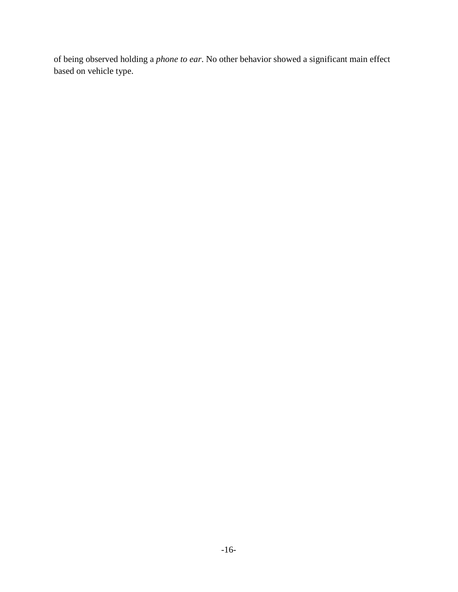of being observed holding a *phone to ear*. No other behavior showed a significant main effect based on vehicle type.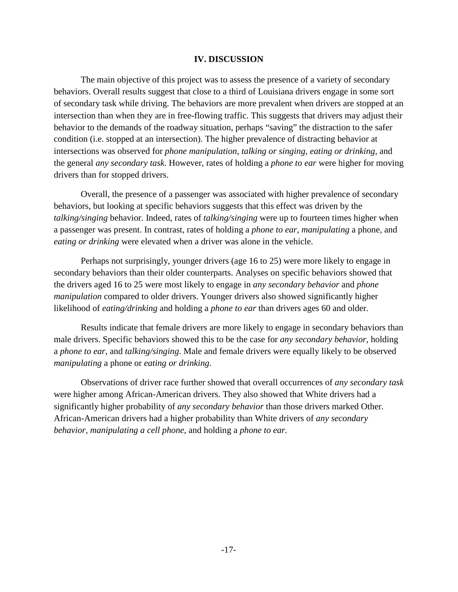### **IV. DISCUSSION**

<span id="page-16-0"></span>The main objective of this project was to assess the presence of a variety of secondary behaviors. Overall results suggest that close to a third of Louisiana drivers engage in some sort of secondary task while driving. The behaviors are more prevalent when drivers are stopped at an intersection than when they are in free-flowing traffic. This suggests that drivers may adjust their behavior to the demands of the roadway situation, perhaps "saving" the distraction to the safer condition (i.e. stopped at an intersection). The higher prevalence of distracting behavior at intersections was observed for *phone manipulation*, *talking or singing*, *eating or drinking,* and the general *any secondary task*. However, rates of holding a *phone to ear* were higher for moving drivers than for stopped drivers.

Overall, the presence of a passenger was associated with higher prevalence of secondary behaviors, but looking at specific behaviors suggests that this effect was driven by the *talking/singing* behavior. Indeed, rates of *talking/singing* were up to fourteen times higher when a passenger was present. In contrast, rates of holding a *phone to ear*, *manipulating* a phone, and *eating or drinking* were elevated when a driver was alone in the vehicle.

Perhaps not surprisingly, younger drivers (age 16 to 25) were more likely to engage in secondary behaviors than their older counterparts. Analyses on specific behaviors showed that the drivers aged 16 to 25 were most likely to engage in *any secondary behavior* and *phone manipulation* compared to older drivers. Younger drivers also showed significantly higher likelihood of *eating/drinking* and holding a *phone to ear* than drivers ages 60 and older.

Results indicate that female drivers are more likely to engage in secondary behaviors than male drivers. Specific behaviors showed this to be the case for *any secondary behavior*, holding a *phone to ear*, and *talking/singing*. Male and female drivers were equally likely to be observed *manipulating* a phone or *eating or drinking*.

Observations of driver race further showed that overall occurrences of *any secondary task* were higher among African-American drivers. They also showed that White drivers had a significantly higher probability of *any secondary behavior* than those drivers marked Other. African-American drivers had a higher probability than White drivers of *any secondary behavior, manipulating a cell phone*, and holding a *phone to ear.*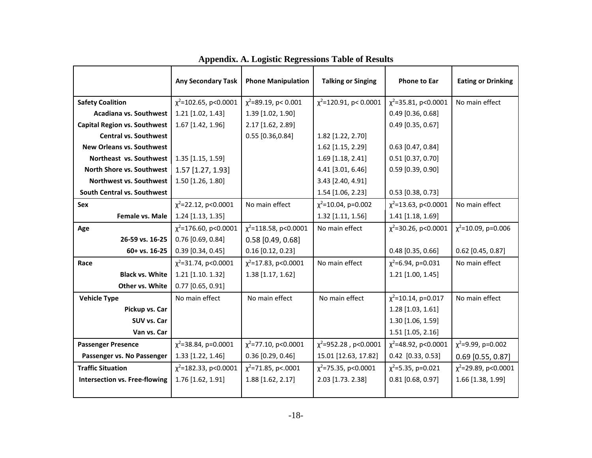<span id="page-17-0"></span>

|                                      | <b>Any Secondary Task</b>  | <b>Phone Manipulation</b>  | <b>Talking or Singing</b>   | <b>Phone to Ear</b>       | <b>Eating or Drinking</b> |
|--------------------------------------|----------------------------|----------------------------|-----------------------------|---------------------------|---------------------------|
| <b>Safety Coalition</b>              | $\chi^2$ =102.65, p<0.0001 | $\chi^2$ =89.19, p< 0.001  | $\chi^2$ =120.91, p< 0.0001 | $\chi^2$ =35.81, p<0.0001 | No main effect            |
| <b>Acadiana vs. Southwest</b>        | 1.21 [1.02, 1.43]          | 1.39 [1.02, 1.90]          |                             | $0.49$ [0.36, 0.68]       |                           |
| <b>Capital Region vs. Southwest</b>  | 1.67 [1.42, 1.96]          | 2.17 [1.62, 2.89]          |                             | $0.49$ [0.35, 0.67]       |                           |
| <b>Central vs. Southwest</b>         |                            | $0.55$ [0.36,0.84]         | 1.82 [1.22, 2.70]           |                           |                           |
| <b>New Orleans vs. Southwest</b>     |                            |                            | 1.62 [1.15, 2.29]           | $0.63$ [0.47, 0.84]       |                           |
| Northeast vs. Southwest              | 1.35 [1.15, 1.59]          |                            | 1.69 [1.18, 2.41]           | $0.51$ [0.37, 0.70]       |                           |
| North Shore vs. Southwest            | 1.57 [1.27, 1.93]          |                            | 4.41 [3.01, 6.46]           | $0.59$ [0.39, 0.90]       |                           |
| Northwest vs. Southwest              | 1.50 [1.26, 1.80]          |                            | 3.43 [2.40, 4.91]           |                           |                           |
| South Central vs. Southwest          |                            |                            | 1.54 [1.06, 2.23]           | $0.53$ [0.38, 0.73]       |                           |
| Sex                                  | $\chi^2$ =22.12, p<0.0001  | No main effect             | $\chi^2$ =10.04, p=0.002    | $\chi^2$ =13.63, p<0.0001 | No main effect            |
| Female vs. Male                      | 1.24 [1.13, 1.35]          |                            | 1.32 [1.11, 1.56]           | 1.41 [1.18, 1.69]         |                           |
| Age                                  | $\chi^2$ =176.60, p<0.0001 | $\chi^2$ =118.58, p<0.0001 | No main effect              | $\chi^2$ =30.26, p<0.0001 | $\chi^2$ =10.09, p=0.006  |
| 26-59 vs. 16-25                      | $0.76$ [0.69, 0.84]        | $0.58$ [0.49, 0.68]        |                             |                           |                           |
| 60+ vs. 16-25                        | $0.39$ [0.34, 0.45]        | $0.16$ [0.12, 0.23]        |                             | $0.48$ [0.35, 0.66]       | $0.62$ [0.45, 0.87]       |
| Race                                 | $\chi^2$ =31.74, p<0.0001  | $\chi^2$ =17.83, p<0.0001  | No main effect              | $\chi^2$ =6.94, p=0.031   | No main effect            |
| <b>Black vs. White</b>               | 1.21 [1.10. 1.32]          | 1.38 [1.17, 1.62]          |                             | 1.21 [1.00, 1.45]         |                           |
| Other vs. White                      | $0.77$ [0.65, 0.91]        |                            |                             |                           |                           |
| <b>Vehicle Type</b>                  | No main effect             | No main effect             | No main effect              | $\chi^2$ =10.14, p=0.017  | No main effect            |
| Pickup vs. Car                       |                            |                            |                             | $1.28$ [1.03, 1.61]       |                           |
| SUV vs. Car                          |                            |                            |                             | 1.30 [1.06, 1.59]         |                           |
| Van vs. Car                          |                            |                            |                             | 1.51 [1.05, 2.16]         |                           |
| <b>Passenger Presence</b>            | $\chi^2$ =38.84, p=0.0001  | $\chi^2$ =77.10, p<0.0001  | $\chi^2$ =952.28, p<0.0001  | $\chi^2$ =48.92, p<0.0001 | $\chi^2$ =9.99, p=0.002   |
| Passenger vs. No Passenger           | 1.33 [1.22, 1.46]          | $0.36$ [0.29, 0.46]        | 15.01 [12.63, 17.82]        | 0.42 [0.33, 0.53]         | $0.69$ [0.55, 0.87]       |
| <b>Traffic Situation</b>             | $\chi^2$ =182.33, p<0.0001 | $\chi^2$ =71.85, p<.0001   | $\chi^2$ =75.35, p<0.0001   | $\chi^2$ =5.35, p=0.021   | $\chi^2$ =29.89, p<0.0001 |
| <b>Intersection vs. Free-flowing</b> | 1.76 [1.62, 1.91]          | 1.88 [1.62, 2.17]          | 2.03 [1.73. 2.38]           | $0.81$ [0.68, 0.97]       | 1.66 [1.38, 1.99]         |
|                                      |                            |                            |                             |                           |                           |

| <b>Appendix. A. Logistic Regressions Table of Results</b> |  |  |  |
|-----------------------------------------------------------|--|--|--|
|                                                           |  |  |  |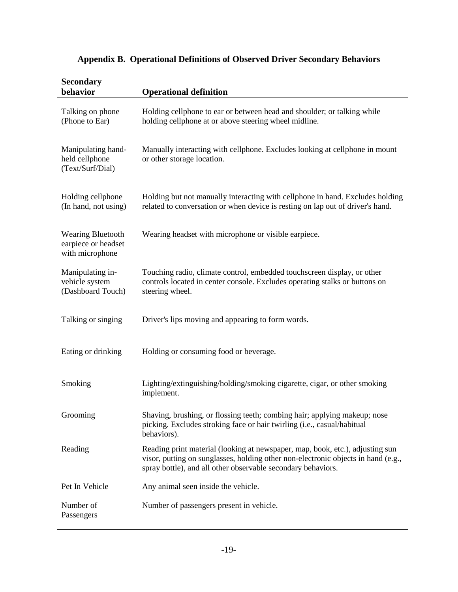| <b>Secondary</b>                                                   |                                                                                                                                                                                                                                    |
|--------------------------------------------------------------------|------------------------------------------------------------------------------------------------------------------------------------------------------------------------------------------------------------------------------------|
| behavior                                                           | <b>Operational definition</b>                                                                                                                                                                                                      |
| Talking on phone<br>(Phone to Ear)                                 | Holding cellphone to ear or between head and shoulder; or talking while<br>holding cellphone at or above steering wheel midline.                                                                                                   |
| Manipulating hand-<br>held cellphone<br>(Text/Surf/Dial)           | Manually interacting with cellphone. Excludes looking at cellphone in mount<br>or other storage location.                                                                                                                          |
| Holding cellphone<br>(In hand, not using)                          | Holding but not manually interacting with cellphone in hand. Excludes holding<br>related to conversation or when device is resting on lap out of driver's hand.                                                                    |
| <b>Wearing Bluetooth</b><br>earpiece or headset<br>with microphone | Wearing headset with microphone or visible earpiece.                                                                                                                                                                               |
| Manipulating in-<br>vehicle system<br>(Dashboard Touch)            | Touching radio, climate control, embedded touchscreen display, or other<br>controls located in center console. Excludes operating stalks or buttons on<br>steering wheel.                                                          |
| Talking or singing                                                 | Driver's lips moving and appearing to form words.                                                                                                                                                                                  |
| Eating or drinking                                                 | Holding or consuming food or beverage.                                                                                                                                                                                             |
| Smoking                                                            | Lighting/extinguishing/holding/smoking cigarette, cigar, or other smoking<br>implement.                                                                                                                                            |
| Grooming                                                           | Shaving, brushing, or flossing teeth; combing hair; applying makeup; nose<br>picking. Excludes stroking face or hair twirling (i.e., casual/habitual<br>behaviors).                                                                |
| Reading                                                            | Reading print material (looking at newspaper, map, book, etc.), adjusting sun<br>visor, putting on sunglasses, holding other non-electronic objects in hand (e.g.,<br>spray bottle), and all other observable secondary behaviors. |
| Pet In Vehicle                                                     | Any animal seen inside the vehicle.                                                                                                                                                                                                |
| Number of<br>Passengers                                            | Number of passengers present in vehicle.                                                                                                                                                                                           |

# <span id="page-18-0"></span>**Appendix B. Operational Definitions of Observed Driver Secondary Behaviors**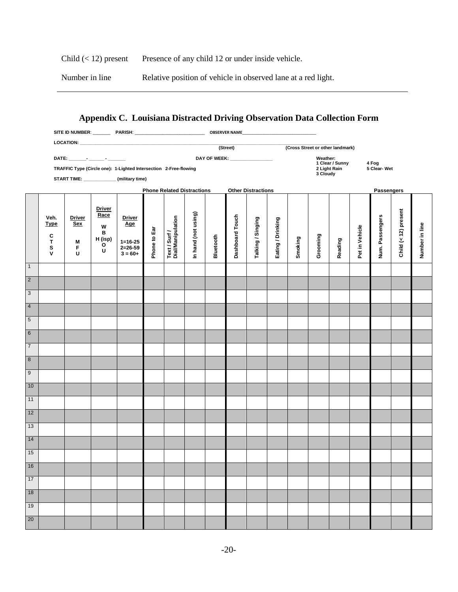Child (< 12) present Presence of any child 12 or under inside vehicle.

Number in line Relative position of vehicle in observed lane at a red light.

# <span id="page-19-0"></span>**Appendix C. Louisiana Distracted Driving Observation Data Collection Form**

|                |                                                    |                                                                                                                                   |                                                      | SITE ID NUMBER: ___________PARISH: ___________________________________OBSERVER NAME___________________________ |              |                                    |                     |           |                 |                   |                   |         |          |         |                       |                 |                      |                |  |  |
|----------------|----------------------------------------------------|-----------------------------------------------------------------------------------------------------------------------------------|------------------------------------------------------|----------------------------------------------------------------------------------------------------------------|--------------|------------------------------------|---------------------|-----------|-----------------|-------------------|-------------------|---------|----------|---------|-----------------------|-----------------|----------------------|----------------|--|--|
|                |                                                    |                                                                                                                                   |                                                      |                                                                                                                |              |                                    |                     |           |                 |                   |                   |         |          |         |                       |                 |                      |                |  |  |
|                |                                                    | (Street)<br>(Cross Street or other landmark)<br>DAY OF WEEK: __________________<br>DATE: ________- _______ - ________<br>Weather: |                                                      |                                                                                                                |              |                                    |                     |           |                 |                   |                   |         |          |         |                       |                 |                      |                |  |  |
|                |                                                    | 1 Clear / Sunny<br>TRAFFIC Type (Circle one): 1-Lighted Intersection 2-Free-flowing<br>2 Light Rain<br>3 Cloudy                   |                                                      |                                                                                                                |              |                                    |                     |           |                 |                   |                   |         |          |         | 4 Fog<br>5 Clear- Wet |                 |                      |                |  |  |
|                |                                                    |                                                                                                                                   |                                                      |                                                                                                                |              |                                    |                     |           |                 |                   |                   |         |          |         |                       |                 |                      |                |  |  |
|                |                                                    | START TIME: ______________ (military time)<br><b>Phone Related Distractions</b><br><b>Other Distractions</b>                      |                                                      |                                                                                                                |              |                                    |                     |           |                 |                   |                   |         |          |         |                       | Passengers      |                      |                |  |  |
|                |                                                    |                                                                                                                                   |                                                      |                                                                                                                |              |                                    |                     |           |                 |                   |                   |         |          |         |                       |                 |                      |                |  |  |
|                | Veh.<br><b>Type</b><br>C<br>T<br>S<br>$\mathsf{v}$ | <b>Driver</b><br><b>Sex</b><br>M<br>F<br>U                                                                                        | <b>Driver</b><br>Race<br>W<br>в<br>H (isp)<br>o<br>U | <b>Driver</b><br><b>Age</b><br>$1 = 16 - 25$<br>$2=26-59$<br>$3 = 60+$                                         | Phone to Ear | Text / Surf /<br>Dial/Manipulation | In hand (not using) | Bluetooth | Dashboard Touch | Talking / Singing | Eating / Drinking | Smoking | Grooming | Reading | Pet in Vehicle        | Num. Passengers | Child (< 12) present | Number in line |  |  |
| $\overline{1}$ |                                                    |                                                                                                                                   |                                                      |                                                                                                                |              |                                    |                     |           |                 |                   |                   |         |          |         |                       |                 |                      |                |  |  |
| $\overline{2}$ |                                                    |                                                                                                                                   |                                                      |                                                                                                                |              |                                    |                     |           |                 |                   |                   |         |          |         |                       |                 |                      |                |  |  |
| 3              |                                                    |                                                                                                                                   |                                                      |                                                                                                                |              |                                    |                     |           |                 |                   |                   |         |          |         |                       |                 |                      |                |  |  |
| $\overline{4}$ |                                                    |                                                                                                                                   |                                                      |                                                                                                                |              |                                    |                     |           |                 |                   |                   |         |          |         |                       |                 |                      |                |  |  |
| $\overline{5}$ |                                                    |                                                                                                                                   |                                                      |                                                                                                                |              |                                    |                     |           |                 |                   |                   |         |          |         |                       |                 |                      |                |  |  |
| $\overline{6}$ |                                                    |                                                                                                                                   |                                                      |                                                                                                                |              |                                    |                     |           |                 |                   |                   |         |          |         |                       |                 |                      |                |  |  |
| $\overline{7}$ |                                                    |                                                                                                                                   |                                                      |                                                                                                                |              |                                    |                     |           |                 |                   |                   |         |          |         |                       |                 |                      |                |  |  |
| 8              |                                                    |                                                                                                                                   |                                                      |                                                                                                                |              |                                    |                     |           |                 |                   |                   |         |          |         |                       |                 |                      |                |  |  |
| $\overline{9}$ |                                                    |                                                                                                                                   |                                                      |                                                                                                                |              |                                    |                     |           |                 |                   |                   |         |          |         |                       |                 |                      |                |  |  |
| 10             |                                                    |                                                                                                                                   |                                                      |                                                                                                                |              |                                    |                     |           |                 |                   |                   |         |          |         |                       |                 |                      |                |  |  |
| 11             |                                                    |                                                                                                                                   |                                                      |                                                                                                                |              |                                    |                     |           |                 |                   |                   |         |          |         |                       |                 |                      |                |  |  |
| 12             |                                                    |                                                                                                                                   |                                                      |                                                                                                                |              |                                    |                     |           |                 |                   |                   |         |          |         |                       |                 |                      |                |  |  |
| 13             |                                                    |                                                                                                                                   |                                                      |                                                                                                                |              |                                    |                     |           |                 |                   |                   |         |          |         |                       |                 |                      |                |  |  |
| 14             |                                                    |                                                                                                                                   |                                                      |                                                                                                                |              |                                    |                     |           |                 |                   |                   |         |          |         |                       |                 |                      |                |  |  |
| 15             |                                                    |                                                                                                                                   |                                                      |                                                                                                                |              |                                    |                     |           |                 |                   |                   |         |          |         |                       |                 |                      |                |  |  |
| 16             |                                                    |                                                                                                                                   |                                                      |                                                                                                                |              |                                    |                     |           |                 |                   |                   |         |          |         |                       |                 |                      |                |  |  |
| 17             |                                                    |                                                                                                                                   |                                                      |                                                                                                                |              |                                    |                     |           |                 |                   |                   |         |          |         |                       |                 |                      |                |  |  |
| 18             |                                                    |                                                                                                                                   |                                                      |                                                                                                                |              |                                    |                     |           |                 |                   |                   |         |          |         |                       |                 |                      |                |  |  |
| 19             |                                                    |                                                                                                                                   |                                                      |                                                                                                                |              |                                    |                     |           |                 |                   |                   |         |          |         |                       |                 |                      |                |  |  |
| $20\degree$    |                                                    |                                                                                                                                   |                                                      |                                                                                                                |              |                                    |                     |           |                 |                   |                   |         |          |         |                       |                 |                      |                |  |  |
|                |                                                    |                                                                                                                                   |                                                      |                                                                                                                |              |                                    |                     |           |                 |                   |                   |         |          |         |                       |                 |                      |                |  |  |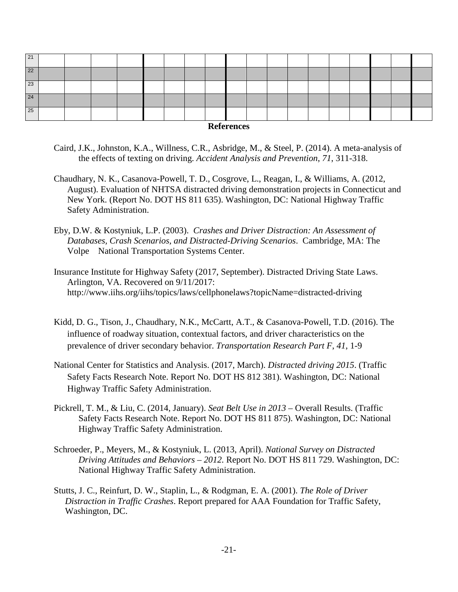| 22<br>23<br>24 | 21 |  |  |  |  |  |  |  |  |  |
|----------------|----|--|--|--|--|--|--|--|--|--|
|                |    |  |  |  |  |  |  |  |  |  |
|                |    |  |  |  |  |  |  |  |  |  |
|                |    |  |  |  |  |  |  |  |  |  |
|                | 25 |  |  |  |  |  |  |  |  |  |

- <span id="page-20-0"></span>Caird, J.K., Johnston, K.A., Willness, C.R., Asbridge, M., & Steel, P. (2014). A meta-analysis of the effects of texting on driving. *Accident Analysis and Prevention*, *71*, 311-318.
- Chaudhary, N. K., Casanova-Powell, T. D., Cosgrove, L., Reagan, I., & Williams, A. (2012, August). Evaluation of NHTSA distracted driving demonstration projects in Connecticut and New York. (Report No. DOT HS 811 635). Washington, DC: National Highway Traffic Safety Administration.
- Eby, D.W. & Kostyniuk, L.P. (2003). *Crashes and Driver Distraction: An Assessment of Databases, Crash Scenarios, and Distracted-Driving Scenarios*. Cambridge, MA: The Volpe National Transportation Systems Center.
- Insurance Institute for Highway Safety (2017, September). Distracted Driving State Laws. Arlington, VA. Recovered on 9/11/2017: http://www.iihs.org/iihs/topics/laws/cellphonelaws?topicName=distracted-driving
- Kidd, D. G., Tison, J., Chaudhary, N.K., McCartt, A.T., & Casanova-Powell, T.D. (2016). The influence of roadway situation, contextual factors, and driver characteristics on the prevalence of driver secondary behavior. *Transportation Research Part F*, *41*, 1-9
- National Center for Statistics and Analysis. (2017, March). *Distracted driving 2015*. (Traffic Safety Facts Research Note. Report No. DOT HS 812 381). Washington, DC: National Highway Traffic Safety Administration.
- Pickrell, T. M., & Liu, C. (2014, January). *Seat Belt Use in 2013* Overall Results. (Traffic Safety Facts Research Note. Report No. DOT HS 811 875). Washington, DC: National Highway Traffic Safety Administration.
- Schroeder, P., Meyers, M., & Kostyniuk, L. (2013, April). *National Survey on Distracted Driving Attitudes and Behaviors – 2012.* Report No. DOT HS 811 729. Washington, DC: National Highway Traffic Safety Administration.
- Stutts, J. C., Reinfurt, D. W., Staplin, L., & Rodgman, E. A. (2001). *The Role of Driver Distraction in Traffic Crashes*. Report prepared for AAA Foundation for Traffic Safety, Washington, DC.